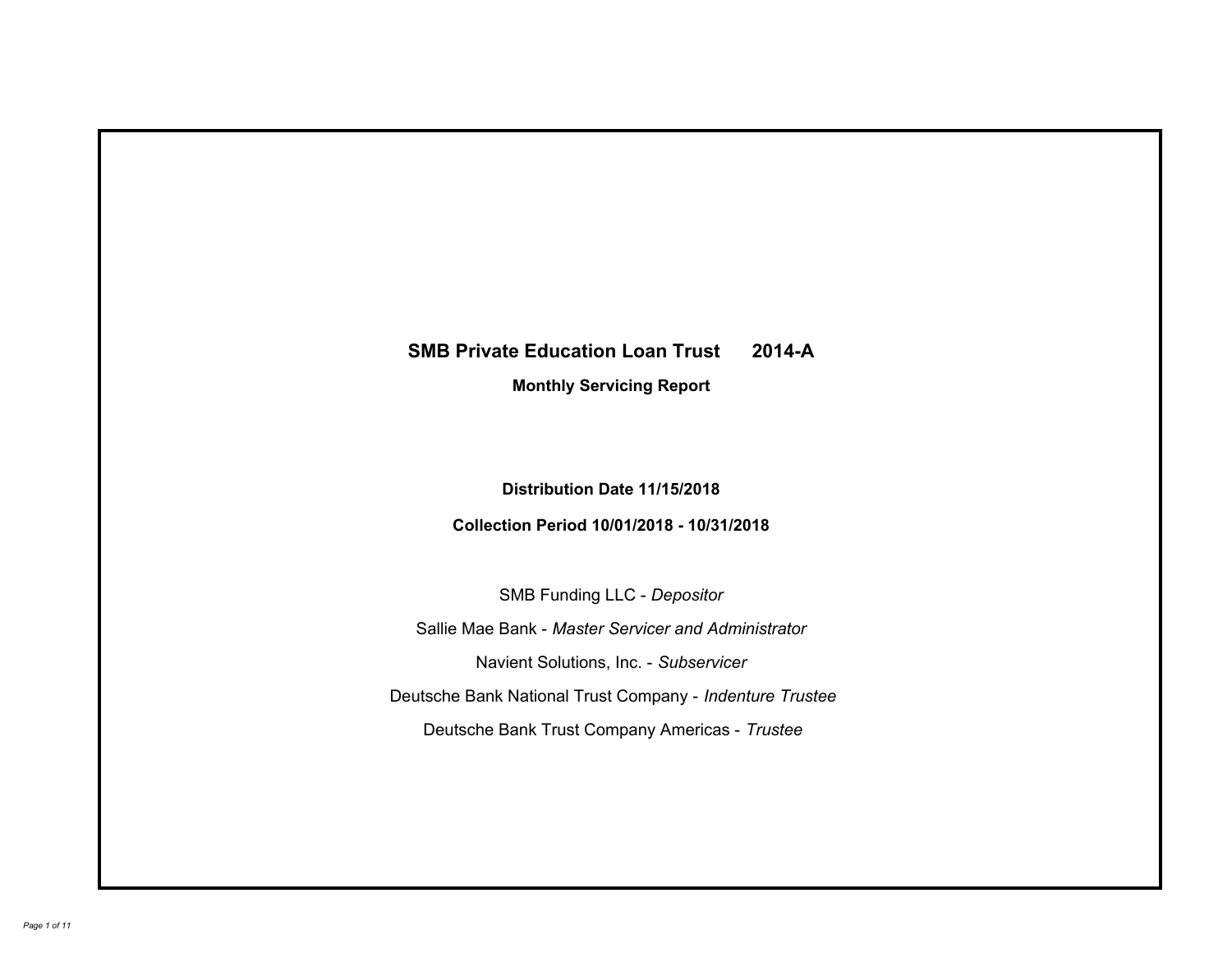# **SMB Private Education Loan Trust 2014-A Monthly Servicing Report**

# **Distribution Date 11/15/2018**

## **Collection Period 10/01/2018 - 10/31/2018**

SMB Funding LLC - *Depositor*

Sallie Mae Bank - *Master Servicer and Administrator*

Navient Solutions, Inc. - *Subservicer*

Deutsche Bank National Trust Company - *Indenture Trustee*

Deutsche Bank Trust Company Americas - *Trustee*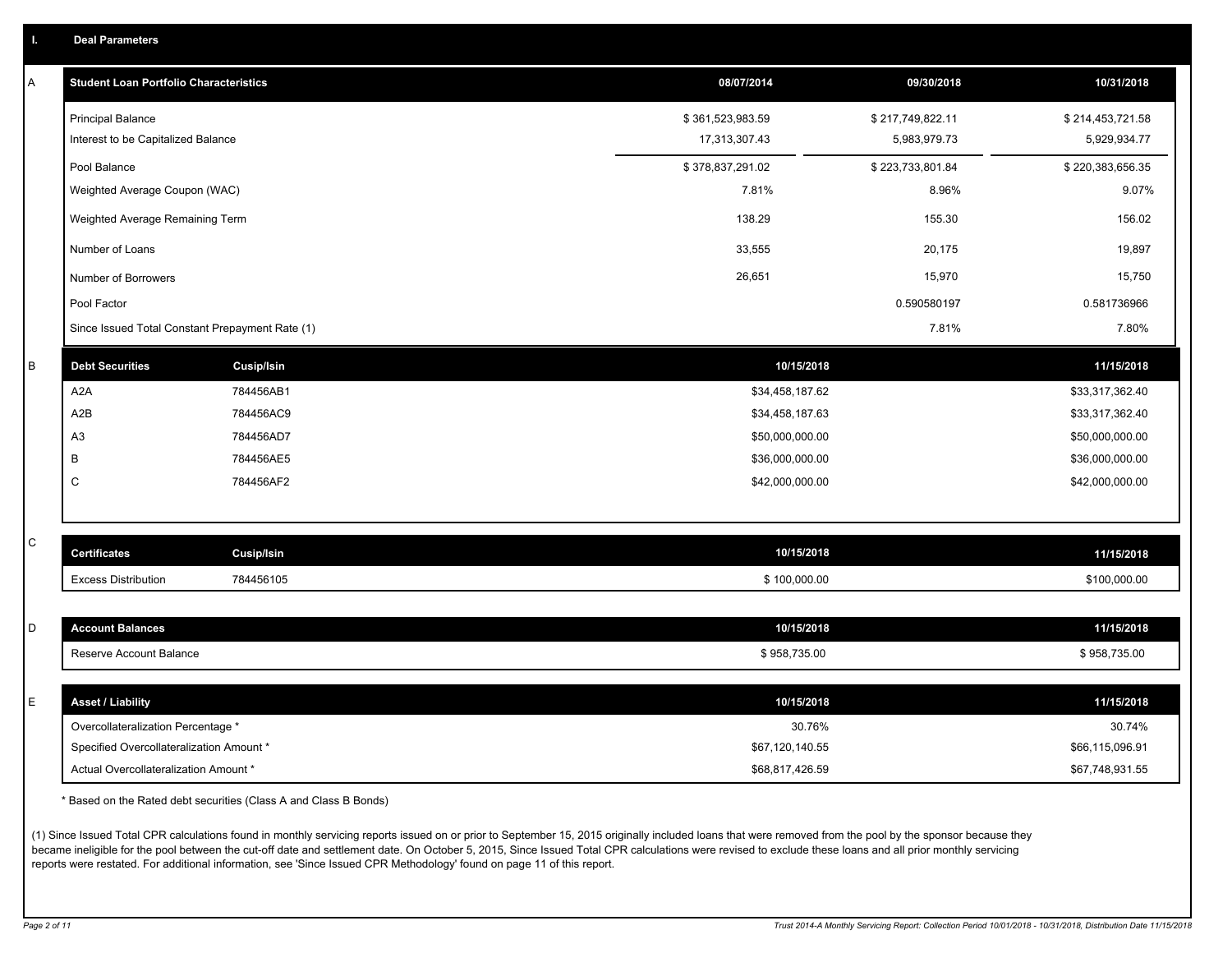|  |  |  |  | <b>Deal Parameters</b> |  |
|--|--|--|--|------------------------|--|
|--|--|--|--|------------------------|--|

| А | <b>Student Loan Portfolio Characteristics</b>   |                   | 08/07/2014       | 09/30/2018       | 10/31/2018       |
|---|-------------------------------------------------|-------------------|------------------|------------------|------------------|
|   | <b>Principal Balance</b>                        |                   | \$361,523,983.59 | \$217,749,822.11 | \$214,453,721.58 |
|   | Interest to be Capitalized Balance              |                   | 17,313,307.43    | 5,983,979.73     | 5,929,934.77     |
|   | Pool Balance                                    |                   | \$378,837,291.02 | \$223,733,801.84 | \$220,383,656.35 |
|   | Weighted Average Coupon (WAC)                   |                   | 7.81%            | 8.96%            | 9.07%            |
|   | Weighted Average Remaining Term                 |                   | 138.29           | 155.30           | 156.02           |
|   | Number of Loans                                 |                   | 33,555           | 20,175           | 19,897           |
|   | Number of Borrowers                             |                   | 26,651           | 15,970           | 15,750           |
|   | Pool Factor                                     |                   |                  | 0.590580197      | 0.581736966      |
|   | Since Issued Total Constant Prepayment Rate (1) |                   |                  | 7.81%            | 7.80%            |
| B | <b>Debt Securities</b>                          | <b>Cusip/Isin</b> | 10/15/2018       |                  | 11/15/2018       |
|   | A <sub>2</sub> A                                | 784456AB1         | \$34,458,187.62  |                  | \$33,317,362.40  |
|   | A2B                                             | 784456AC9         | \$34,458,187.63  |                  | \$33,317,362.40  |
|   | A <sub>3</sub>                                  | 784456AD7         | \$50,000,000.00  |                  | \$50,000,000.00  |
|   | B                                               | 784456AE5         | \$36,000,000.00  |                  | \$36,000,000.00  |
|   | С                                               | 784456AF2         | \$42,000,000.00  |                  | \$42,000,000.00  |
|   |                                                 |                   |                  |                  |                  |
| C | <b>Certificates</b>                             | <b>Cusip/Isin</b> | 10/15/2018       |                  | 11/15/2018       |
|   | <b>Excess Distribution</b>                      | 784456105         | \$100,000.00     |                  | \$100,000.00     |
|   |                                                 |                   |                  |                  |                  |
| D | <b>Account Balances</b>                         |                   | 10/15/2018       |                  | 11/15/2018       |
|   | Reserve Account Balance                         |                   | \$958,735.00     |                  | \$958,735.00     |
|   |                                                 |                   |                  |                  |                  |
| E | <b>Asset / Liability</b>                        |                   | 10/15/2018       |                  | 11/15/2018       |
|   | Overcollateralization Percentage *              |                   | 30.76%           |                  | 30.74%           |
|   | Specified Overcollateralization Amount *        |                   | \$67,120,140.55  |                  | \$66,115,096.91  |
|   | Actual Overcollateralization Amount *           |                   | \$68,817,426.59  |                  | \$67,748,931.55  |

\* Based on the Rated debt securities (Class A and Class B Bonds)

(1) Since Issued Total CPR calculations found in monthly servicing reports issued on or prior to September 15, 2015 originally included loans that were removed from the pool by the sponsor because they became ineligible for the pool between the cut-off date and settlement date. On October 5, 2015, Since Issued Total CPR calculations were revised to exclude these loans and all prior monthly servicing reports were restated. For additional information, see 'Since Issued CPR Methodology' found on page 11 of this report.

*Page 2 of 11 Trust 2014-A Monthly Servicing Report: Collection Period 10/01/2018 - 10/31/2018, Distribution Date 11/15/2018*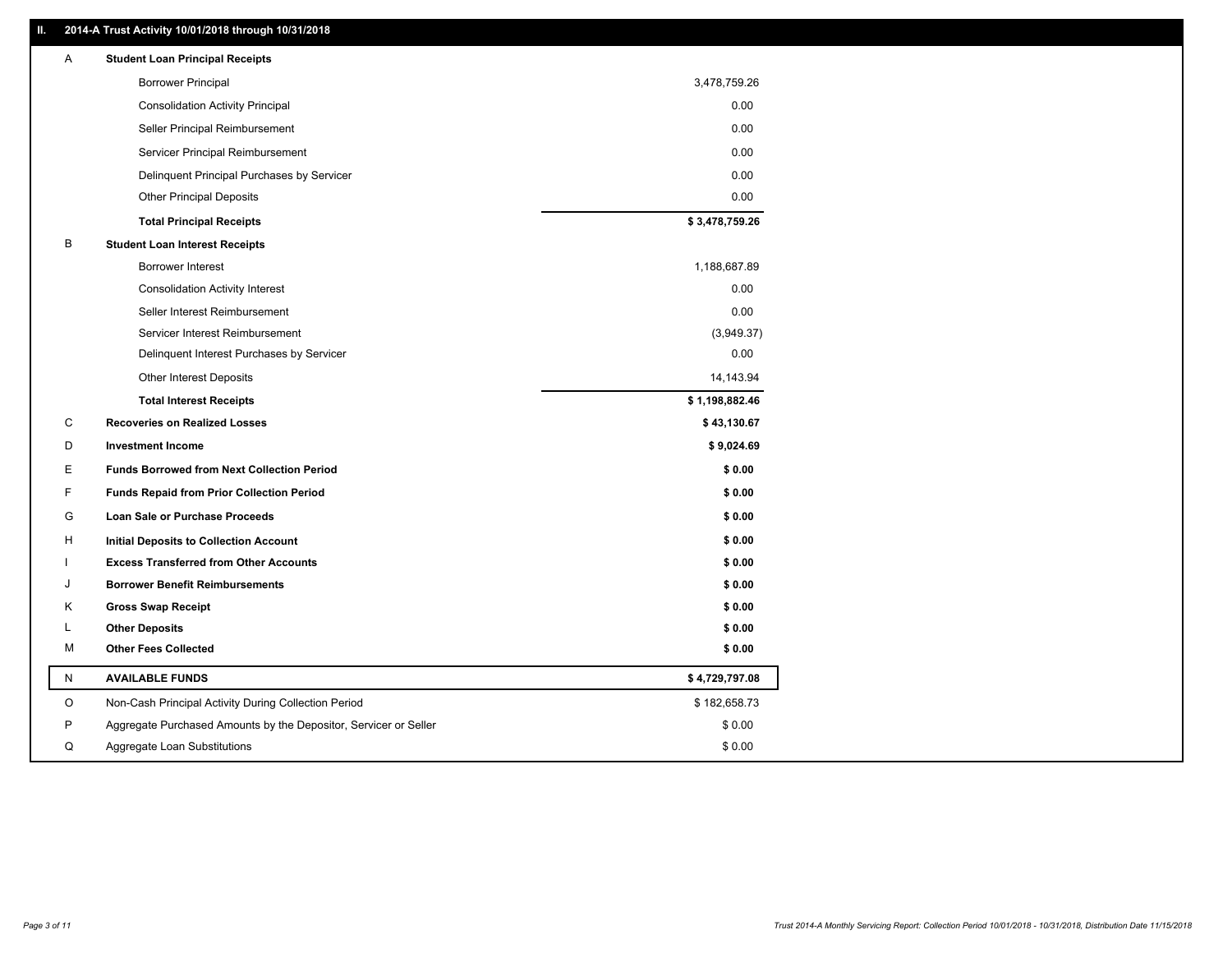### **II. 2014-A Trust Activity 10/01/2018 through 10/31/2018**

| Α         | <b>Student Loan Principal Receipts</b>                           |                |
|-----------|------------------------------------------------------------------|----------------|
|           | <b>Borrower Principal</b>                                        | 3,478,759.26   |
|           | <b>Consolidation Activity Principal</b>                          | 0.00           |
|           | Seller Principal Reimbursement                                   | 0.00           |
|           | Servicer Principal Reimbursement                                 | 0.00           |
|           | Delinquent Principal Purchases by Servicer                       | 0.00           |
|           | <b>Other Principal Deposits</b>                                  | 0.00           |
|           | <b>Total Principal Receipts</b>                                  | \$3,478,759.26 |
| В         | <b>Student Loan Interest Receipts</b>                            |                |
|           | <b>Borrower Interest</b>                                         | 1,188,687.89   |
|           | <b>Consolidation Activity Interest</b>                           | 0.00           |
|           | Seller Interest Reimbursement                                    | 0.00           |
|           | Servicer Interest Reimbursement                                  | (3,949.37)     |
|           | Delinquent Interest Purchases by Servicer                        | 0.00           |
|           | <b>Other Interest Deposits</b>                                   | 14,143.94      |
|           | <b>Total Interest Receipts</b>                                   | \$1,198,882.46 |
| С         | <b>Recoveries on Realized Losses</b>                             | \$43,130.67    |
| D         | <b>Investment Income</b>                                         | \$9,024.69     |
| Е         | <b>Funds Borrowed from Next Collection Period</b>                | \$0.00         |
| F         | <b>Funds Repaid from Prior Collection Period</b>                 | \$0.00         |
| G         | Loan Sale or Purchase Proceeds                                   | \$0.00         |
| н         | <b>Initial Deposits to Collection Account</b>                    | \$0.00         |
|           | <b>Excess Transferred from Other Accounts</b>                    | \$0.00         |
| ۱.        | <b>Borrower Benefit Reimbursements</b>                           | \$0.00         |
| Κ         | <b>Gross Swap Receipt</b>                                        | \$0.00         |
| L         | <b>Other Deposits</b>                                            | \$0.00         |
| м         | <b>Other Fees Collected</b>                                      | \$0.00         |
| ${\sf N}$ | <b>AVAILABLE FUNDS</b>                                           | \$4,729,797.08 |
| $\circ$   | Non-Cash Principal Activity During Collection Period             | \$182,658.73   |
| P         | Aggregate Purchased Amounts by the Depositor, Servicer or Seller | \$0.00         |
| Q         | Aggregate Loan Substitutions                                     | \$0.00         |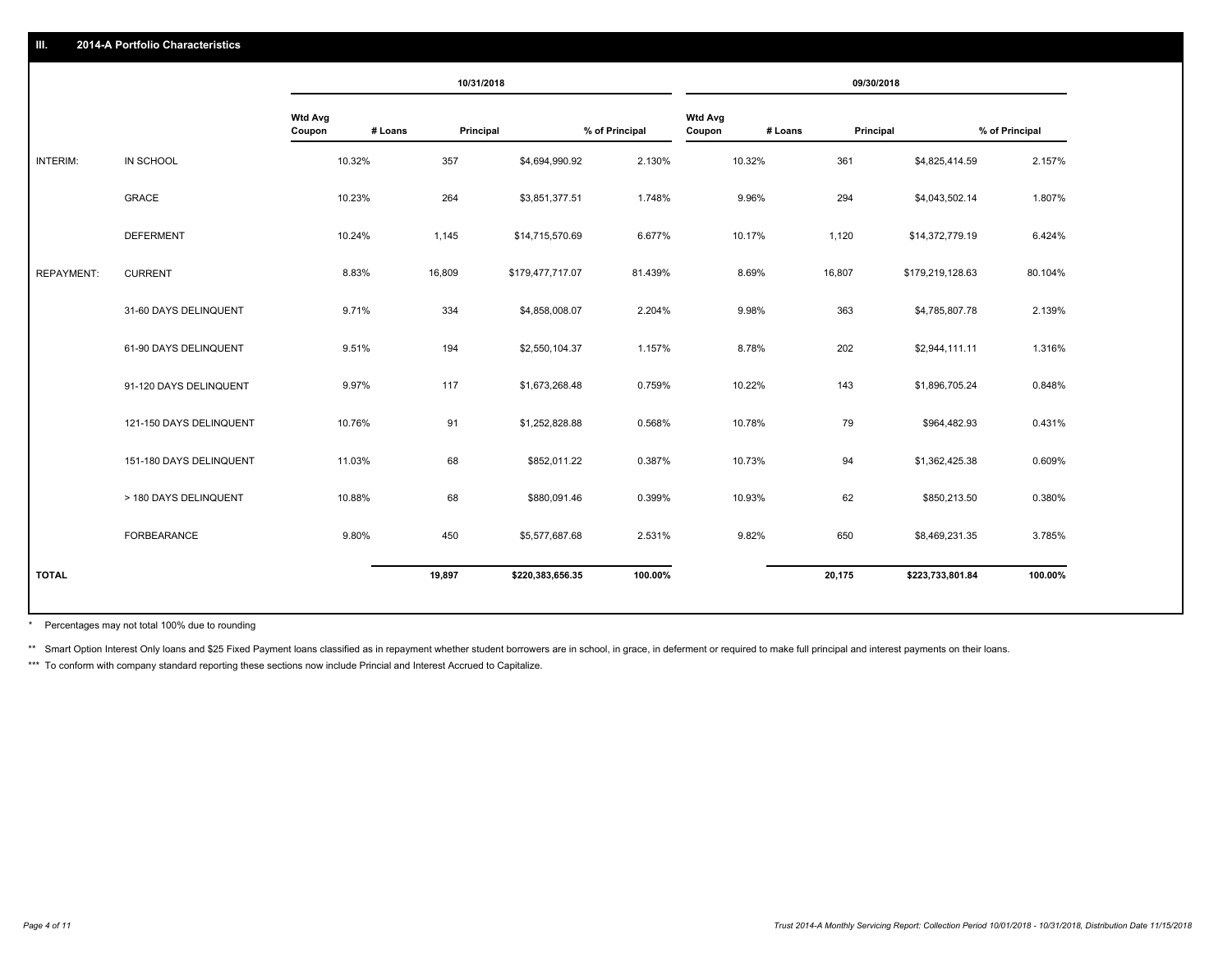### **III. 2014-A Portfolio Characteristics**

|                   |                         |                                     | 10/31/2018 |                  |                |                          |         | 09/30/2018 |                  |                |
|-------------------|-------------------------|-------------------------------------|------------|------------------|----------------|--------------------------|---------|------------|------------------|----------------|
|                   |                         | <b>Wtd Avg</b><br># Loans<br>Coupon | Principal  |                  | % of Principal | <b>Wtd Avg</b><br>Coupon | # Loans | Principal  |                  | % of Principal |
| INTERIM:          | IN SCHOOL               | 10.32%                              | 357        | \$4,694,990.92   | 2.130%         | 10.32%                   |         | 361        | \$4,825,414.59   | 2.157%         |
|                   | <b>GRACE</b>            | 10.23%                              | 264        | \$3,851,377.51   | 1.748%         | 9.96%                    |         | 294        | \$4,043,502.14   | 1.807%         |
|                   | <b>DEFERMENT</b>        | 10.24%                              | 1,145      | \$14,715,570.69  | 6.677%         | 10.17%                   |         | 1,120      | \$14,372,779.19  | 6.424%         |
| <b>REPAYMENT:</b> | <b>CURRENT</b>          | 8.83%                               | 16,809     | \$179,477,717.07 | 81.439%        | 8.69%                    |         | 16,807     | \$179,219,128.63 | 80.104%        |
|                   | 31-60 DAYS DELINQUENT   | 9.71%                               | 334        | \$4,858,008.07   | 2.204%         | 9.98%                    |         | 363        | \$4,785,807.78   | 2.139%         |
|                   | 61-90 DAYS DELINQUENT   | 9.51%                               | 194        | \$2,550,104.37   | 1.157%         | 8.78%                    |         | 202        | \$2,944,111.11   | 1.316%         |
|                   | 91-120 DAYS DELINQUENT  | 9.97%                               | 117        | \$1,673,268.48   | 0.759%         | 10.22%                   |         | 143        | \$1,896,705.24   | 0.848%         |
|                   | 121-150 DAYS DELINQUENT | 10.76%                              | 91         | \$1,252,828.88   | 0.568%         | 10.78%                   |         | 79         | \$964,482.93     | 0.431%         |
|                   | 151-180 DAYS DELINQUENT | 11.03%                              | 68         | \$852,011.22     | 0.387%         | 10.73%                   |         | 94         | \$1,362,425.38   | 0.609%         |
|                   | > 180 DAYS DELINQUENT   | 10.88%                              | 68         | \$880,091.46     | 0.399%         | 10.93%                   |         | 62         | \$850,213.50     | 0.380%         |
|                   | FORBEARANCE             | 9.80%                               | 450        | \$5,577,687.68   | 2.531%         | 9.82%                    |         | 650        | \$8,469,231.35   | 3.785%         |
| <b>TOTAL</b>      |                         |                                     | 19,897     | \$220,383,656.35 | 100.00%        |                          |         | 20,175     | \$223,733,801.84 | 100.00%        |
|                   |                         |                                     |            |                  |                |                          |         |            |                  |                |

Percentages may not total 100% due to rounding \*

\*\* Smart Option Interest Only loans and \$25 Fixed Payment loans classified as in repayment whether student borrowers are in school, in grace, in deferment or required to make full principal and interest payments on their l

\*\*\* To conform with company standard reporting these sections now include Princial and Interest Accrued to Capitalize.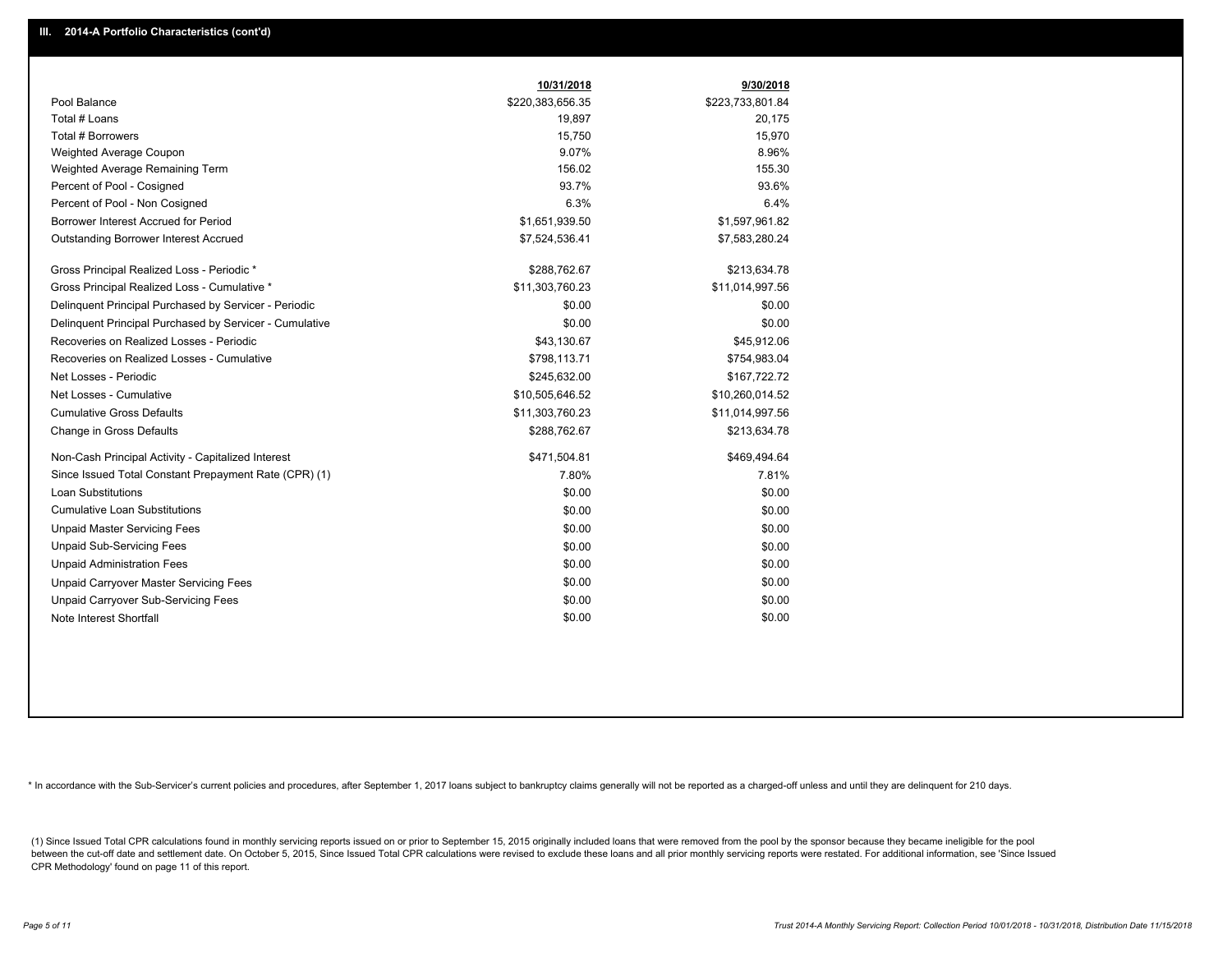|                                                         | 10/31/2018       | 9/30/2018        |
|---------------------------------------------------------|------------------|------------------|
| Pool Balance                                            | \$220,383,656.35 | \$223,733,801.84 |
| Total # Loans                                           | 19,897           | 20,175           |
| <b>Total # Borrowers</b>                                | 15,750           | 15,970           |
| Weighted Average Coupon                                 | 9.07%            | 8.96%            |
| Weighted Average Remaining Term                         | 156.02           | 155.30           |
| Percent of Pool - Cosigned                              | 93.7%            | 93.6%            |
| Percent of Pool - Non Cosigned                          | 6.3%             | 6.4%             |
| Borrower Interest Accrued for Period                    | \$1,651,939.50   | \$1,597,961.82   |
| <b>Outstanding Borrower Interest Accrued</b>            | \$7,524,536.41   | \$7,583,280.24   |
| Gross Principal Realized Loss - Periodic *              | \$288,762.67     | \$213,634.78     |
| Gross Principal Realized Loss - Cumulative *            | \$11,303,760.23  | \$11,014,997.56  |
| Delinguent Principal Purchased by Servicer - Periodic   | \$0.00           | \$0.00           |
| Delinguent Principal Purchased by Servicer - Cumulative | \$0.00           | \$0.00           |
| Recoveries on Realized Losses - Periodic                | \$43,130.67      | \$45,912.06      |
| Recoveries on Realized Losses - Cumulative              | \$798,113.71     | \$754,983.04     |
| Net Losses - Periodic                                   | \$245,632.00     | \$167,722.72     |
| Net Losses - Cumulative                                 | \$10,505,646.52  | \$10,260,014.52  |
| <b>Cumulative Gross Defaults</b>                        | \$11,303,760.23  | \$11,014,997.56  |
| Change in Gross Defaults                                | \$288,762.67     | \$213,634.78     |
| Non-Cash Principal Activity - Capitalized Interest      | \$471,504.81     | \$469,494.64     |
| Since Issued Total Constant Prepayment Rate (CPR) (1)   | 7.80%            | 7.81%            |
| Loan Substitutions                                      | \$0.00           | \$0.00           |
| <b>Cumulative Loan Substitutions</b>                    | \$0.00           | \$0.00           |
| <b>Unpaid Master Servicing Fees</b>                     | \$0.00           | \$0.00           |
| <b>Unpaid Sub-Servicing Fees</b>                        | \$0.00           | \$0.00           |
| <b>Unpaid Administration Fees</b>                       | \$0.00           | \$0.00           |
| Unpaid Carryover Master Servicing Fees                  | \$0.00           | \$0.00           |
| Unpaid Carryover Sub-Servicing Fees                     | \$0.00           | \$0.00           |
| Note Interest Shortfall                                 | \$0.00           | \$0.00           |

\* In accordance with the Sub-Servicer's current policies and procedures, after September 1, 2017 loans subject to bankruptcy claims generally will not be reported as a charged-off unless and until they are delinquent for 2

(1) Since Issued Total CPR calculations found in monthly servicing reports issued on or prior to September 15, 2015 originally included loans that were removed from the pool by the sponsor because they became ineligible fo between the cut-off date and settlement date. On October 5, 2015, Since Issued Total CPR calculations were revised to exclude these loans and all prior monthly servicing reports were restated. For additional information, s CPR Methodology' found on page 11 of this report.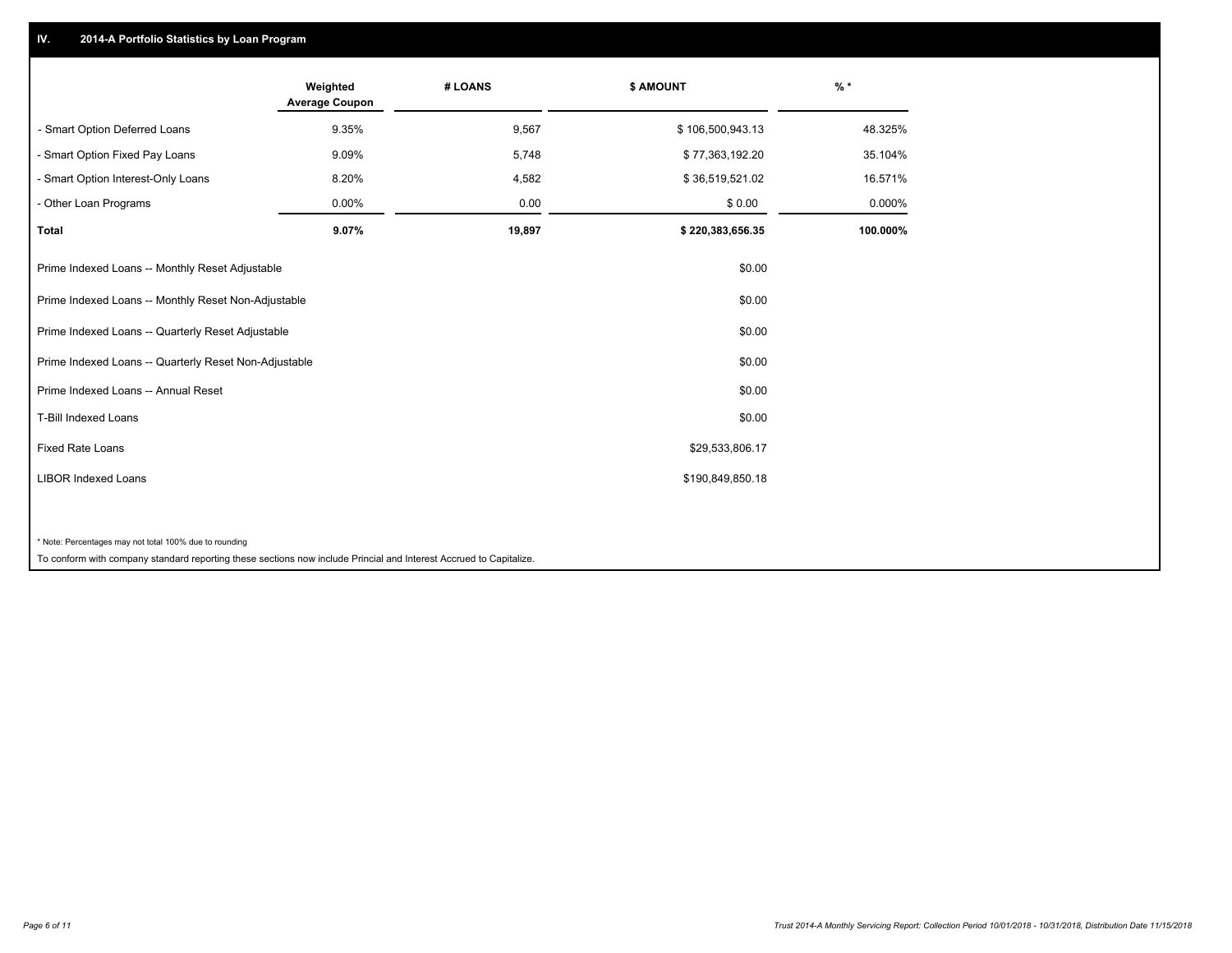## **IV. 2014-A Portfolio Statistics by Loan Program**

|                                                        | Weighted<br><b>Average Coupon</b> | # LOANS | <b>\$ AMOUNT</b> | $%$ *    |
|--------------------------------------------------------|-----------------------------------|---------|------------------|----------|
| - Smart Option Deferred Loans                          | 9.35%                             | 9,567   | \$106,500,943.13 | 48.325%  |
| - Smart Option Fixed Pay Loans                         | 9.09%                             | 5,748   | \$77,363,192.20  | 35.104%  |
| - Smart Option Interest-Only Loans                     | 8.20%                             | 4,582   | \$36,519,521.02  | 16.571%  |
| - Other Loan Programs                                  | 0.00%                             | 0.00    | \$0.00           | 0.000%   |
| <b>Total</b>                                           | 9.07%                             | 19,897  | \$220,383,656.35 | 100.000% |
| Prime Indexed Loans -- Monthly Reset Adjustable        |                                   |         | \$0.00           |          |
| Prime Indexed Loans -- Monthly Reset Non-Adjustable    |                                   |         | \$0.00           |          |
| Prime Indexed Loans -- Quarterly Reset Adjustable      |                                   |         | \$0.00           |          |
| Prime Indexed Loans -- Quarterly Reset Non-Adjustable  |                                   |         | \$0.00           |          |
| Prime Indexed Loans -- Annual Reset                    |                                   |         | \$0.00           |          |
| T-Bill Indexed Loans                                   |                                   |         | \$0.00           |          |
| <b>Fixed Rate Loans</b>                                |                                   |         | \$29,533,806.17  |          |
| <b>LIBOR Indexed Loans</b>                             |                                   |         | \$190,849,850.18 |          |
|                                                        |                                   |         |                  |          |
| * Note: Percentages may not total 100% due to rounding |                                   |         |                  |          |

To conform with company standard reporting these sections now include Princial and Interest Accrued to Capitalize.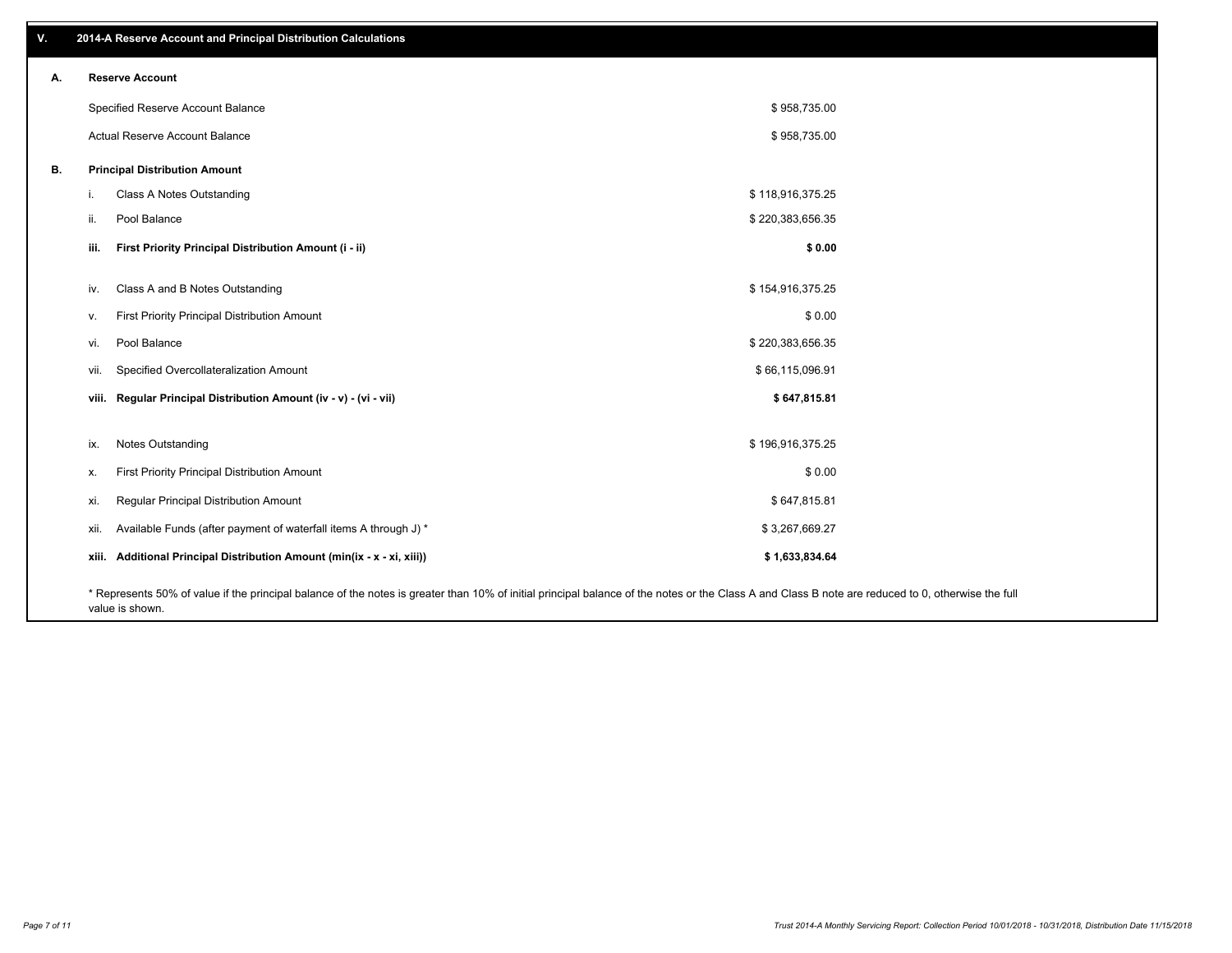| V. |      | 2014-A Reserve Account and Principal Distribution Calculations                                                                                                                                     |                  |  |
|----|------|----------------------------------------------------------------------------------------------------------------------------------------------------------------------------------------------------|------------------|--|
| А. |      | <b>Reserve Account</b>                                                                                                                                                                             |                  |  |
|    |      | Specified Reserve Account Balance                                                                                                                                                                  | \$958,735.00     |  |
|    |      | Actual Reserve Account Balance                                                                                                                                                                     | \$958,735.00     |  |
| В. |      | <b>Principal Distribution Amount</b>                                                                                                                                                               |                  |  |
|    | i.   | Class A Notes Outstanding                                                                                                                                                                          | \$118,916,375.25 |  |
|    | ii.  | Pool Balance                                                                                                                                                                                       | \$220,383,656.35 |  |
|    | iii. | First Priority Principal Distribution Amount (i - ii)                                                                                                                                              | \$0.00           |  |
|    | iv.  | Class A and B Notes Outstanding                                                                                                                                                                    | \$154,916,375.25 |  |
|    | v.   | First Priority Principal Distribution Amount                                                                                                                                                       | \$0.00           |  |
|    | vi.  | Pool Balance                                                                                                                                                                                       | \$220,383,656.35 |  |
|    | vii. | Specified Overcollateralization Amount                                                                                                                                                             | \$66,115,096.91  |  |
|    |      | viii. Regular Principal Distribution Amount (iv - v) - (vi - vii)                                                                                                                                  | \$647,815.81     |  |
|    |      |                                                                                                                                                                                                    |                  |  |
|    | ix.  | Notes Outstanding                                                                                                                                                                                  | \$196,916,375.25 |  |
|    | х.   | First Priority Principal Distribution Amount                                                                                                                                                       | \$0.00           |  |
|    | xi.  | Regular Principal Distribution Amount                                                                                                                                                              | \$647,815.81     |  |
|    | xii. | Available Funds (after payment of waterfall items A through J) *                                                                                                                                   | \$3,267,669.27   |  |
|    |      | xiii. Additional Principal Distribution Amount (min(ix - x - xi, xiii))                                                                                                                            | \$1,633,834.64   |  |
|    |      | * Represents 50% of value if the principal balance of the notes is greater than 10% of initial principal balance of the notes or the Class A and Class B note are reduced to 0, otherwise the full |                  |  |

value is shown.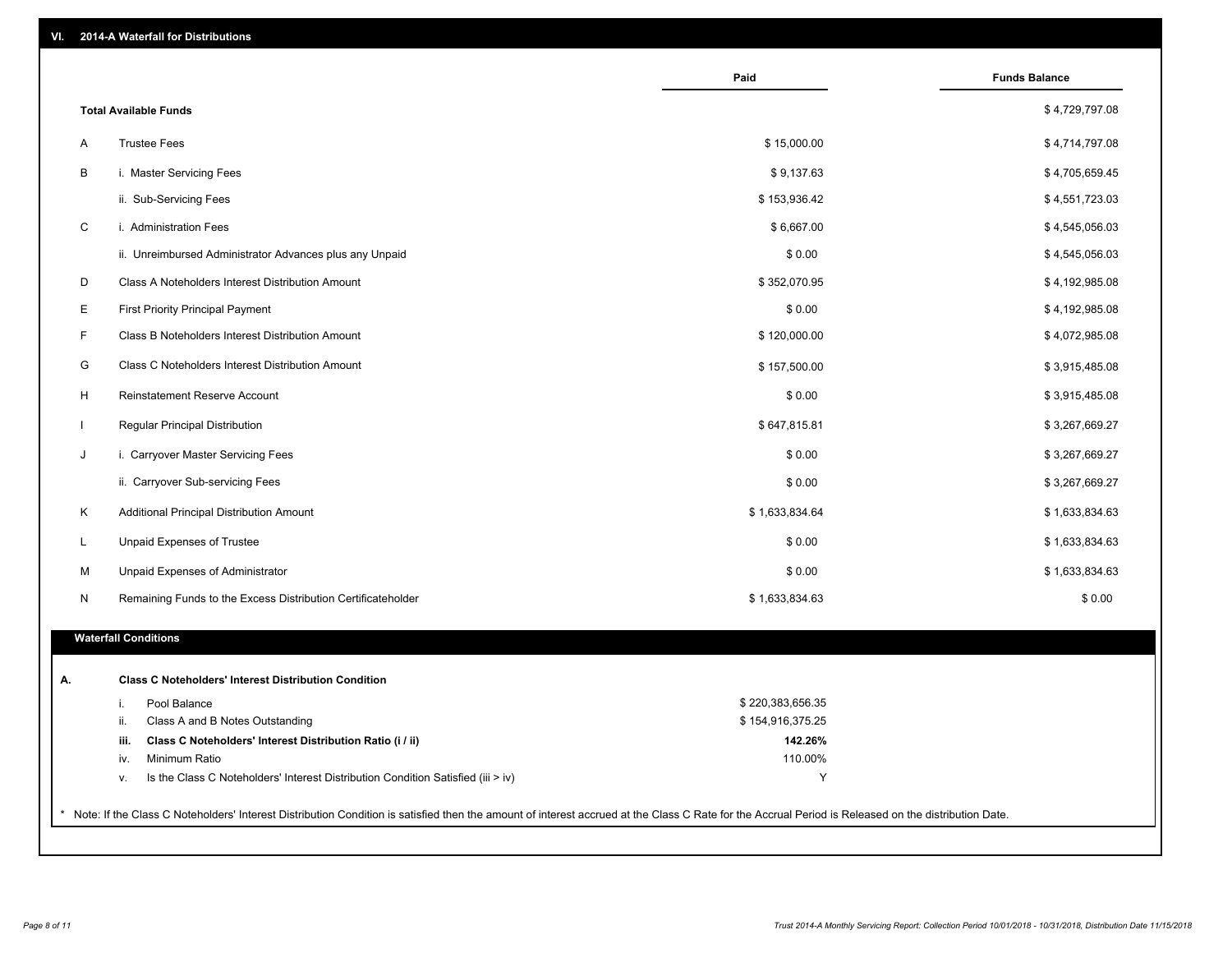| WI.<br>2014-A Waterfall for Distributions |
|-------------------------------------------|
|-------------------------------------------|

|             |                                                                                        | Paid               | <b>Funds Balance</b> |
|-------------|----------------------------------------------------------------------------------------|--------------------|----------------------|
|             | <b>Total Available Funds</b>                                                           |                    | \$4,729,797.08       |
| Α           | <b>Trustee Fees</b>                                                                    | \$15,000.00        | \$4,714,797.08       |
| B           | i. Master Servicing Fees                                                               | \$9,137.63         | \$4,705,659.45       |
|             | ii. Sub-Servicing Fees                                                                 | \$153,936.42       | \$4,551,723.03       |
| $\mathsf C$ | i. Administration Fees                                                                 | \$6,667.00         | \$4,545,056.03       |
|             | ii. Unreimbursed Administrator Advances plus any Unpaid                                | \$0.00             | \$4,545,056.03       |
| D           | Class A Noteholders Interest Distribution Amount                                       | \$352,070.95       | \$4,192,985.08       |
| Е           | <b>First Priority Principal Payment</b>                                                | \$0.00             | \$4,192,985.08       |
| F           | Class B Noteholders Interest Distribution Amount                                       | \$120,000.00       | \$4,072,985.08       |
| G           | Class C Noteholders Interest Distribution Amount                                       | \$157,500.00       | \$3,915,485.08       |
| H           | Reinstatement Reserve Account                                                          | \$0.00             | \$3,915,485.08       |
|             | Regular Principal Distribution                                                         | \$647,815.81       | \$3,267,669.27       |
|             | i. Carryover Master Servicing Fees                                                     | \$0.00             | \$3,267,669.27       |
|             | ii. Carryover Sub-servicing Fees                                                       | \$0.00             | \$3,267,669.27       |
| Κ           | Additional Principal Distribution Amount                                               | \$1,633,834.64     | \$1,633,834.63       |
|             | Unpaid Expenses of Trustee                                                             | \$0.00             | \$1,633,834.63       |
| М           | Unpaid Expenses of Administrator                                                       | \$0.00             | \$1,633,834.63       |
| N           | Remaining Funds to the Excess Distribution Certificateholder                           | \$1,633,834.63     | \$0.00               |
|             | <b>Waterfall Conditions</b>                                                            |                    |                      |
|             |                                                                                        |                    |                      |
|             | <b>Class C Noteholders' Interest Distribution Condition</b>                            |                    |                      |
| i.          | Pool Balance                                                                           | \$220,383,656.35   |                      |
| ii.         | Class A and B Notes Outstanding                                                        | \$154,916,375.25   |                      |
| iii.<br>iv. | Class C Noteholders' Interest Distribution Ratio (i / ii)<br>Minimum Ratio             | 142.26%<br>110.00% |                      |
|             | Is the Class C Noteholders' Interest Distribution Condition Satisfied (iii > iv)<br>v. | Y                  |                      |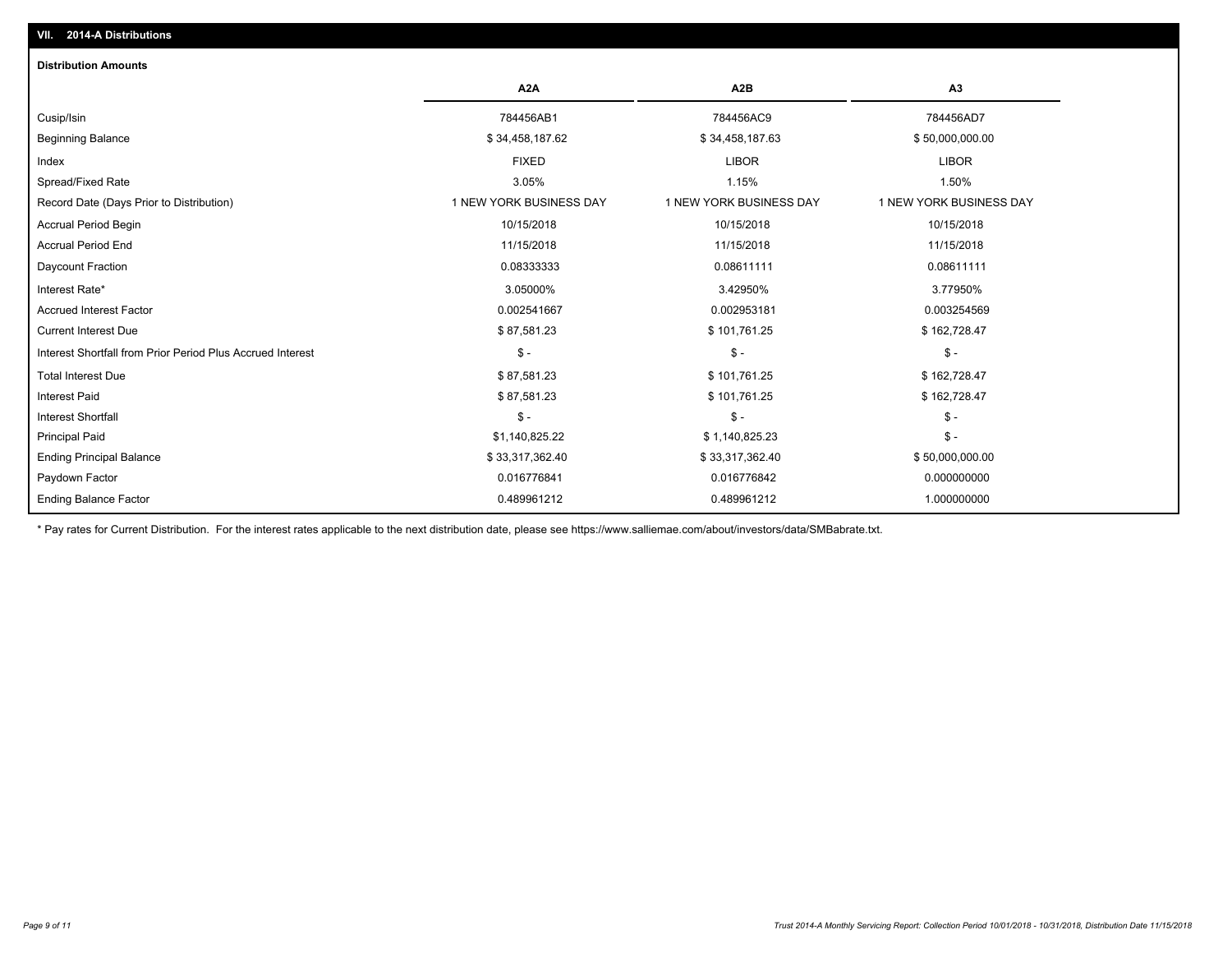| <b>Distribution Amounts</b>                                |                         |                         |                                |
|------------------------------------------------------------|-------------------------|-------------------------|--------------------------------|
|                                                            | A <sub>2</sub> A        | A2B                     | A3                             |
| Cusip/Isin                                                 | 784456AB1               | 784456AC9               | 784456AD7                      |
| <b>Beginning Balance</b>                                   | \$34,458,187.62         | \$34,458,187.63         | \$50,000,000.00                |
| Index                                                      | <b>FIXED</b>            | <b>LIBOR</b>            | <b>LIBOR</b>                   |
| Spread/Fixed Rate                                          | 3.05%                   | 1.15%                   | 1.50%                          |
| Record Date (Days Prior to Distribution)                   | 1 NEW YORK BUSINESS DAY | 1 NEW YORK BUSINESS DAY | <b>1 NEW YORK BUSINESS DAY</b> |
| <b>Accrual Period Begin</b>                                | 10/15/2018              | 10/15/2018              | 10/15/2018                     |
| <b>Accrual Period End</b>                                  | 11/15/2018              | 11/15/2018              | 11/15/2018                     |
| Daycount Fraction                                          | 0.08333333              | 0.08611111              | 0.08611111                     |
| Interest Rate*                                             | 3.05000%                | 3.42950%                | 3.77950%                       |
| <b>Accrued Interest Factor</b>                             | 0.002541667             | 0.002953181             | 0.003254569                    |
| <b>Current Interest Due</b>                                | \$87,581.23             | \$101,761.25            | \$162,728.47                   |
| Interest Shortfall from Prior Period Plus Accrued Interest | $$ -$                   | $\mathsf{\$}$ -         | $\frac{1}{2}$                  |
| <b>Total Interest Due</b>                                  | \$87,581.23             | \$101,761.25            | \$162,728.47                   |
| <b>Interest Paid</b>                                       | \$87,581.23             | \$101,761.25            | \$162,728.47                   |
| <b>Interest Shortfall</b>                                  | $$ -$                   | $\mathsf{\$}$ -         | $$ -$                          |
| <b>Principal Paid</b>                                      | \$1,140,825.22          | \$1,140,825.23          | $$ -$                          |
| <b>Ending Principal Balance</b>                            | \$33,317,362.40         | \$33,317,362.40         | \$50,000,000.00                |
| Paydown Factor                                             | 0.016776841             | 0.016776842             | 0.000000000                    |
| <b>Ending Balance Factor</b>                               | 0.489961212             | 0.489961212             | 1.000000000                    |

\* Pay rates for Current Distribution. For the interest rates applicable to the next distribution date, please see https://www.salliemae.com/about/investors/data/SMBabrate.txt.

**VII. 2014-A Distributions**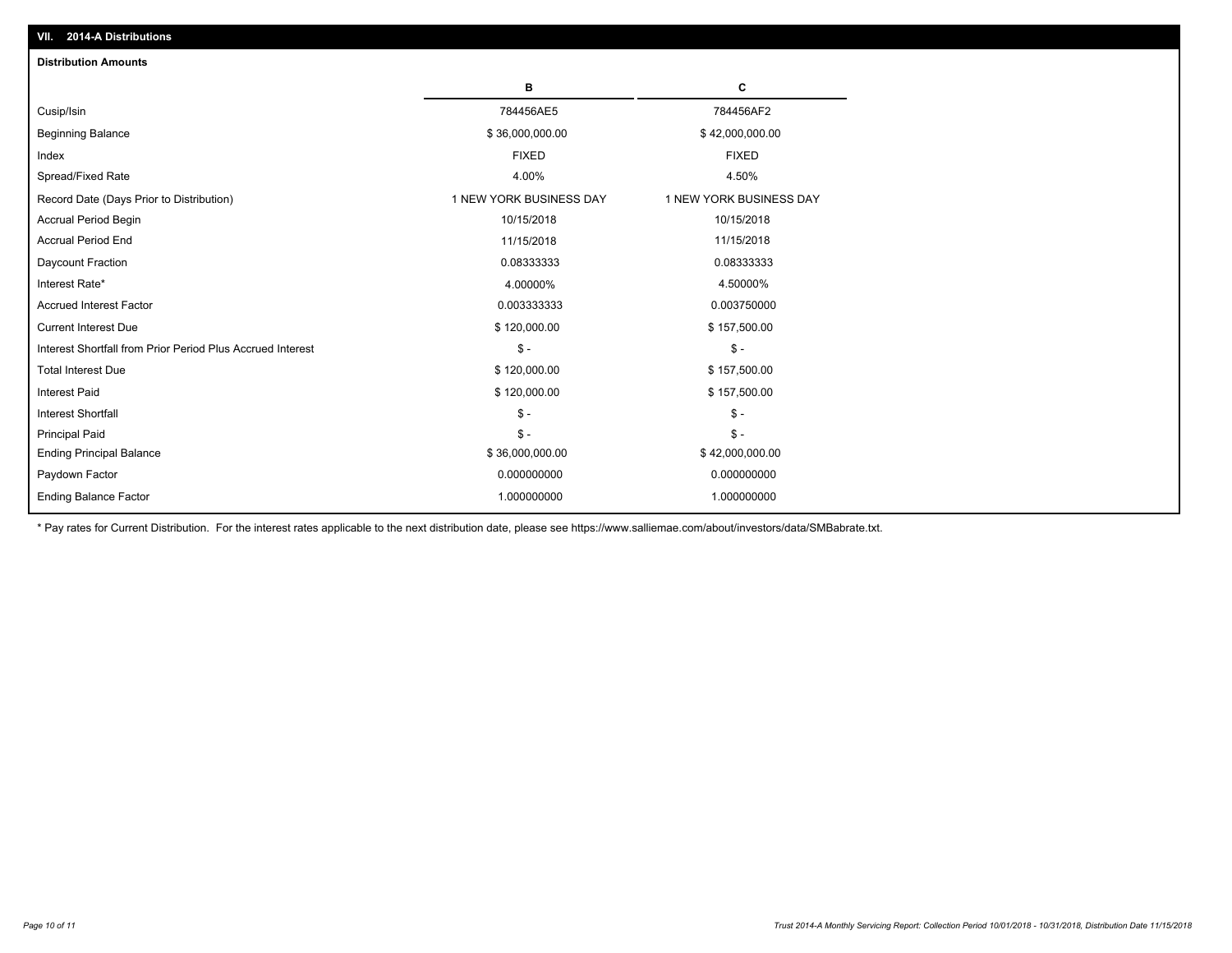| <b>Distribution Amounts</b>                                |                         |                         |
|------------------------------------------------------------|-------------------------|-------------------------|
|                                                            | в                       | C                       |
| Cusip/Isin                                                 | 784456AE5               | 784456AF2               |
| <b>Beginning Balance</b>                                   | \$36,000,000.00         | \$42,000,000.00         |
| Index                                                      | <b>FIXED</b>            | <b>FIXED</b>            |
| Spread/Fixed Rate                                          | 4.00%                   | 4.50%                   |
| Record Date (Days Prior to Distribution)                   | 1 NEW YORK BUSINESS DAY | 1 NEW YORK BUSINESS DAY |
| <b>Accrual Period Begin</b>                                | 10/15/2018              | 10/15/2018              |
| <b>Accrual Period End</b>                                  | 11/15/2018              | 11/15/2018              |
| Daycount Fraction                                          | 0.08333333              | 0.08333333              |
| Interest Rate*                                             | 4.00000%                | 4.50000%                |
| <b>Accrued Interest Factor</b>                             | 0.003333333             | 0.003750000             |
| <b>Current Interest Due</b>                                | \$120,000.00            | \$157,500.00            |
| Interest Shortfall from Prior Period Plus Accrued Interest | $\mathsf{\$}$ -         | $\mathsf{\$}$ -         |
| <b>Total Interest Due</b>                                  | \$120,000.00            | \$157,500.00            |
| Interest Paid                                              | \$120,000.00            | \$157,500.00            |
| <b>Interest Shortfall</b>                                  | $\mathcal{S}$ -         | $\mathsf{\$}$ -         |
| <b>Principal Paid</b>                                      | $\mathsf{\$}$ -         | $\mathsf{\$}$ -         |
| <b>Ending Principal Balance</b>                            | \$36,000,000.00         | \$42,000,000.00         |
| Paydown Factor                                             | 0.000000000             | 0.000000000             |
| <b>Ending Balance Factor</b>                               | 1.000000000             | 1.000000000             |

\* Pay rates for Current Distribution. For the interest rates applicable to the next distribution date, please see https://www.salliemae.com/about/investors/data/SMBabrate.txt.

**VII. 2014-A Distributions**